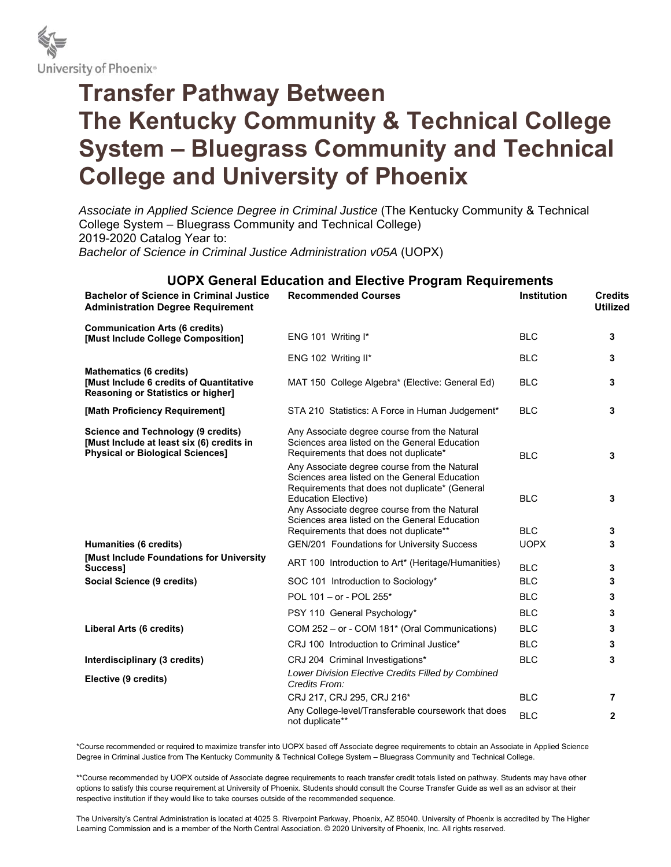

## **Transfer Pathway Between The Kentucky Community & Technical College System – Bluegrass Community and Technical College and University of Phoenix**

*Associate in Applied Science Degree in Criminal Justice* (The Kentucky Community & Technical College System – Bluegrass Community and Technical College) 2019-2020 Catalog Year to:

*Bachelor of Science in Criminal Justice Administration v05A* (UOPX)

| <b>UOPX General Education and Elective Program Requirements</b>                                                                   |                                                                                                                                                                                                                                                                                |                    |                                   |  |  |
|-----------------------------------------------------------------------------------------------------------------------------------|--------------------------------------------------------------------------------------------------------------------------------------------------------------------------------------------------------------------------------------------------------------------------------|--------------------|-----------------------------------|--|--|
| <b>Bachelor of Science in Criminal Justice</b><br><b>Administration Degree Requirement</b>                                        | <b>Recommended Courses</b>                                                                                                                                                                                                                                                     | <b>Institution</b> | <b>Credits</b><br><b>Utilized</b> |  |  |
| <b>Communication Arts (6 credits)</b><br>[Must Include College Composition]                                                       | ENG 101 Writing I*                                                                                                                                                                                                                                                             | <b>BLC</b>         | 3                                 |  |  |
|                                                                                                                                   | ENG 102 Writing II*                                                                                                                                                                                                                                                            | <b>BLC</b>         | 3                                 |  |  |
| <b>Mathematics (6 credits)</b><br><b>Must Include 6 credits of Quantitative</b><br>Reasoning or Statistics or higher]             | MAT 150 College Algebra* (Elective: General Ed)                                                                                                                                                                                                                                | <b>BLC</b>         | 3                                 |  |  |
| [Math Proficiency Requirement]                                                                                                    | STA 210 Statistics: A Force in Human Judgement*                                                                                                                                                                                                                                | <b>BLC</b>         | 3                                 |  |  |
| <b>Science and Technology (9 credits)</b><br>[Must Include at least six (6) credits in<br><b>Physical or Biological Sciences]</b> | Any Associate degree course from the Natural<br>Sciences area listed on the General Education<br>Requirements that does not duplicate*                                                                                                                                         | <b>BLC</b>         | 3                                 |  |  |
|                                                                                                                                   | Any Associate degree course from the Natural<br>Sciences area listed on the General Education<br>Requirements that does not duplicate* (General<br><b>Education Elective)</b><br>Any Associate degree course from the Natural<br>Sciences area listed on the General Education | <b>BLC</b>         | 3                                 |  |  |
|                                                                                                                                   | Requirements that does not duplicate**                                                                                                                                                                                                                                         | <b>BLC</b>         | 3                                 |  |  |
| Humanities (6 credits)                                                                                                            | <b>GEN/201 Foundations for University Success</b>                                                                                                                                                                                                                              | <b>UOPX</b>        | 3                                 |  |  |
| [Must Include Foundations for University<br>Success]                                                                              | ART 100 Introduction to Art* (Heritage/Humanities)                                                                                                                                                                                                                             | <b>BLC</b>         | 3                                 |  |  |
| Social Science (9 credits)                                                                                                        | SOC 101 Introduction to Sociology*                                                                                                                                                                                                                                             | <b>BLC</b>         | 3                                 |  |  |
|                                                                                                                                   | POL 101 - or - POL 255*                                                                                                                                                                                                                                                        | <b>BLC</b>         | 3                                 |  |  |
|                                                                                                                                   | PSY 110 General Psychology*                                                                                                                                                                                                                                                    | <b>BLC</b>         | 3                                 |  |  |
| Liberal Arts (6 credits)                                                                                                          | COM 252 - or - COM 181* (Oral Communications)                                                                                                                                                                                                                                  | <b>BLC</b>         | 3                                 |  |  |
|                                                                                                                                   | CRJ 100 Introduction to Criminal Justice*                                                                                                                                                                                                                                      | <b>BLC</b>         | 3                                 |  |  |
| Interdisciplinary (3 credits)                                                                                                     | CRJ 204 Criminal Investigations*                                                                                                                                                                                                                                               | <b>BLC</b>         | 3                                 |  |  |
| Elective (9 credits)                                                                                                              | Lower Division Elective Credits Filled by Combined<br>Credits From:                                                                                                                                                                                                            |                    |                                   |  |  |
|                                                                                                                                   | CRJ 217, CRJ 295, CRJ 216*                                                                                                                                                                                                                                                     | <b>BLC</b>         | 7                                 |  |  |
|                                                                                                                                   | Any College-level/Transferable coursework that does<br>not duplicate**                                                                                                                                                                                                         | <b>BLC</b>         | $\mathbf{2}$                      |  |  |

\*Course recommended or required to maximize transfer into UOPX based off Associate degree requirements to obtain an Associate in Applied Science Degree in Criminal Justice from The Kentucky Community & Technical College System – Bluegrass Community and Technical College.

\*\*Course recommended by UOPX outside of Associate degree requirements to reach transfer credit totals listed on pathway. Students may have other options to satisfy this course requirement at University of Phoenix. Students should consult the Course Transfer Guide as well as an advisor at their respective institution if they would like to take courses outside of the recommended sequence.

The University's Central Administration is located at 4025 S. Riverpoint Parkway, Phoenix, AZ 85040. University of Phoenix is accredited by The Higher Learning Commission and is a member of the North Central Association. © 2020 University of Phoenix, Inc. All rights reserved.